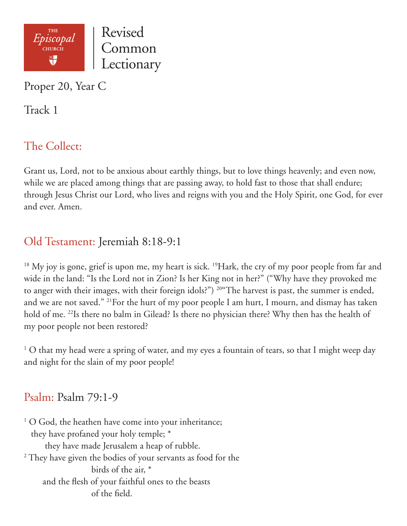

Proper 20, Year C

Track 1

# The Collect:

Grant us, Lord, not to be anxious about earthly things, but to love things heavenly; and even now, while we are placed among things that are passing away, to hold fast to those that shall endure; through Jesus Christ our Lord, who lives and reigns with you and the Holy Spirit, one God, for ever and ever. Amen.

## Old Testament: Jeremiah 8:18-9:1

<sup>18</sup> My joy is gone, grief is upon me, my heart is sick. <sup>19</sup>Hark, the cry of my poor people from far and wide in the land: "Is the Lord not in Zion? Is her King not in her?" ("Why have they provoked me to anger with their images, with their foreign idols?") 20"The harvest is past, the summer is ended, and we are not saved." 21For the hurt of my poor people I am hurt, I mourn, and dismay has taken hold of me. <sup>22</sup>Is there no balm in Gilead? Is there no physician there? Why then has the health of my poor people not been restored?

<sup>1</sup> O that my head were a spring of water, and my eyes a fountain of tears, so that I might weep day and night for the slain of my poor people!

## Psalm: Psalm 79:1-9

<sup>1</sup> O God, the heathen have come into your inheritance; they have profaned your holy temple; \* they have made Jerusalem a heap of rubble.  $^2$  They have given the bodies of your servants as food for the birds of the air, \* and the flesh of your faithful ones to the beasts of the field.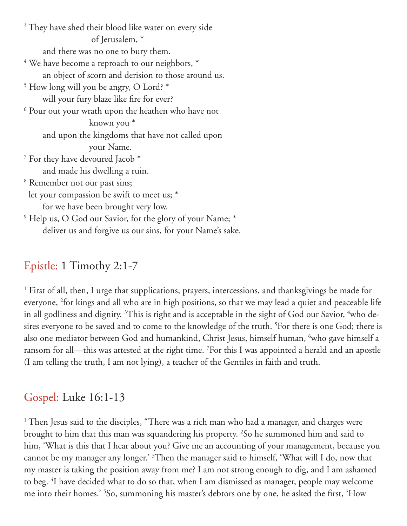<sup>3</sup> They have shed their blood like water on every side of Jerusalem, \* and there was no one to bury them.  $^4$  We have become a reproach to our neighbors,  $^\ast$  an object of scorn and derision to those around us. 5 How long will you be angry, O Lord? \* will your fury blaze like fire for ever?  $^6$  Pour out your wrath upon the heathen who have not known you \* and upon the kingdoms that have not called upon your Name.  $^7$  For they have devoured Jacob  $^{\ast}$  and made his dwelling a ruin. 8 Remember not our past sins; let your compassion be swift to meet us; \* for we have been brought very low. 9 Help us, O God our Savior, for the glory of your Name; \* deliver us and forgive us our sins, for your Name's sake.

### Epistle: 1 Timothy 2:1-7

<sup>1</sup> First of all, then, I urge that supplications, prayers, intercessions, and thanksgivings be made for everyone, <sup>2</sup>for kings and all who are in high positions, so that we may lead a quiet and peaceable life in all godliness and dignity.  $^3\rm{This}$  is right and is acceptable in the sight of God our Savior,  $^4\rm{who}$  desires everyone to be saved and to come to the knowledge of the truth. <sup>5</sup>For there is one God; there is also one mediator between God and humankind, Christ Jesus, himself human, <sup>6</sup>who gave himself a ransom for all—this was attested at the right time. 7 For this I was appointed a herald and an apostle (I am telling the truth, I am not lying), a teacher of the Gentiles in faith and truth.

#### Gospel: Luke 16:1-13

<sup>1</sup> Then Jesus said to the disciples, "There was a rich man who had a manager, and charges were brought to him that this man was squandering his property. 2 So he summoned him and said to him, 'What is this that I hear about you? Give me an accounting of your management, because you cannot be my manager any longer.' <sup>3</sup>Then the manager said to himself, 'What will I do, now that my master is taking the position away from me? I am not strong enough to dig, and I am ashamed to beg. 4 I have decided what to do so that, when I am dismissed as manager, people may welcome me into their homes.' 5 So, summoning his master's debtors one by one, he asked the first, 'How